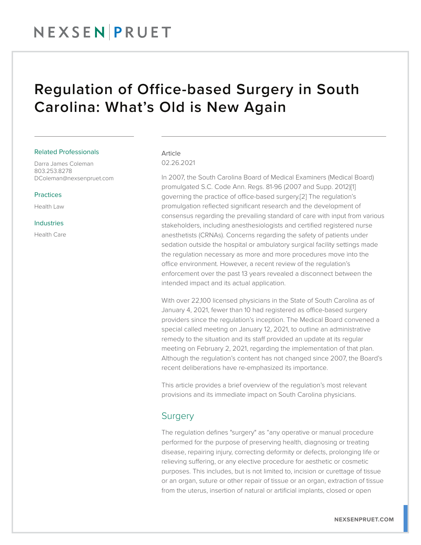## NEXSENPRUET

## Regulation of Office-based Surgery in South Carolina: What's Old is New Again

#### Related Professionals

Darra James Coleman 803.253.8278 DColeman@nexsenpruet.com

#### Practices

Health Law

#### Industries

Health Care

#### Article 02.26.2021

In 2007, the South Carolina Board of Medical Examiners (Medical Board) promulgated S.C. Code Ann. Regs. 81-96 (2007 and Supp. 2012)[1] governing the practice of office-based surgery.[2] The regulation's promulgation reflected significant research and the development of consensus regarding the prevailing standard of care with input from various stakeholders, including anesthesiologists and certified registered nurse anesthetists (CRNAs). Concerns regarding the safety of patients under sedation outside the hospital or ambulatory surgical facility settings made the regulation necessary as more and more procedures move into the office environment. However, a recent review of the regulation's enforcement over the past 13 years revealed a disconnect between the intended impact and its actual application.

With over 22,100 licensed physicians in the State of South Carolina as of January 4, 2021, fewer than 10 had registered as office-based surgery providers since the regulation's inception. The Medical Board convened a special called meeting on January 12, 2021, to outline an administrative remedy to the situation and its staff provided an update at its regular meeting on February 2, 2021, regarding the implementation of that plan. Although the regulation's content has not changed since 2007, the Board's recent deliberations have re-emphasized its importance.

This article provides a brief overview of the regulation's most relevant provisions and its immediate impact on South Carolina physicians.

#### Surgery

The regulation defines "surgery" as "any operative or manual procedure performed for the purpose of preserving health, diagnosing or treating disease, repairing injury, correcting deformity or defects, prolonging life or relieving suffering, or any elective procedure for aesthetic or cosmetic purposes. This includes, but is not limited to, incision or curettage of tissue or an organ, suture or other repair of tissue or an organ, extraction of tissue from the uterus, insertion of natural or artificial implants, closed or open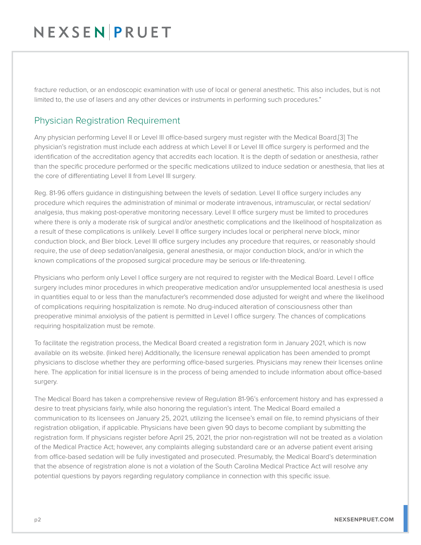## NEXSENPRUET

fracture reduction, or an endoscopic examination with use of local or general anesthetic. This also includes, but is not limited to, the use of lasers and any other devices or instruments in performing such procedures."

#### Physician Registration Requirement

Any physician performing Level II or Level III office-based surgery must register with the Medical Board.[3] The physician's registration must include each address at which Level II or Level III office surgery is performed and the identification of the accreditation agency that accredits each location. It is the depth of sedation or anesthesia, rather than the specific procedure performed or the specific medications utilized to induce sedation or anesthesia, that lies at the core of differentiating Level II from Level III surgery.

Reg. 81-96 offers guidance in distinguishing between the levels of sedation. Level II office surgery includes any procedure which requires the administration of minimal or moderate intravenous, intramuscular, or rectal sedation/ analgesia, thus making post-operative monitoring necessary. Level II office surgery must be limited to procedures where there is only a moderate risk of surgical and/or anesthetic complications and the likelihood of hospitalization as a result of these complications is unlikely. Level II office surgery includes local or peripheral nerve block, minor conduction block, and Bier block. Level III office surgery includes any procedure that requires, or reasonably should require, the use of deep sedation/analgesia, general anesthesia, or major conduction block, and/or in which the known complications of the proposed surgical procedure may be serious or life-threatening.

Physicians who perform only Level I office surgery are not required to register with the Medical Board. Level I office surgery includes minor procedures in which preoperative medication and/or unsupplemented local anesthesia is used in quantities equal to or less than the manufacturer's recommended dose adjusted for weight and where the likelihood of complications requiring hospitalization is remote. No drug-induced alteration of consciousness other than preoperative minimal anxiolysis of the patient is permitted in Level I office surgery. The chances of complications requiring hospitalization must be remote.

To facilitate the registration process, the Medical Board created a registration form in January 2021, which is now available on its website. (linked here) Additionally, the licensure renewal application has been amended to prompt physicians to disclose whether they are performing office-based surgeries. Physicians may renew their licenses online here. The application for initial licensure is in the process of being amended to include information about office-based surgery.

The Medical Board has taken a comprehensive review of Regulation 81-96's enforcement history and has expressed a desire to treat physicians fairly, while also honoring the regulation's intent. The Medical Board emailed a communication to its licensees on January 25, 2021, utilizing the licensee's email on file, to remind physicians of their registration obligation, if applicable. Physicians have been given 90 days to become compliant by submitting the registration form. If physicians register before April 25, 2021, the prior non-registration will not be treated as a violation of the Medical Practice Act; however, any complaints alleging substandard care or an adverse patient event arising from office-based sedation will be fully investigated and prosecuted. Presumably, the Medical Board's determination that the absence of registration alone is not a violation of the South Carolina Medical Practice Act will resolve any potential questions by payors regarding regulatory compliance in connection with this specific issue.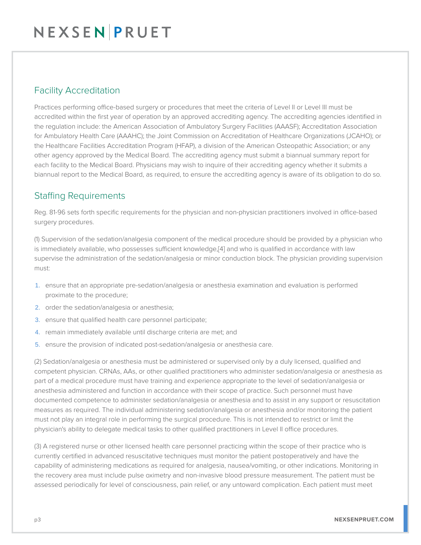#### Facility Accreditation

Practices performing office-based surgery or procedures that meet the criteria of Level II or Level III must be accredited within the first year of operation by an approved accrediting agency. The accrediting agencies identified in the regulation include: the American Association of Ambulatory Surgery Facilities (AAASF); Accreditation Association for Ambulatory Health Care (AAAHC); the Joint Commission on Accreditation of Healthcare Organizations (JCAHO); or the Healthcare Facilities Accreditation Program (HFAP), a division of the American Osteopathic Association; or any other agency approved by the Medical Board. The accrediting agency must submit a biannual summary report for each facility to the Medical Board. Physicians may wish to inquire of their accrediting agency whether it submits a biannual report to the Medical Board, as required, to ensure the accrediting agency is aware of its obligation to do so.

### Staffing Requirements

Reg. 81-96 sets forth specific requirements for the physician and non-physician practitioners involved in office-based surgery procedures.

(1) Supervision of the sedation/analgesia component of the medical procedure should be provided by a physician who is immediately available, who possesses sufficient knowledge,[4] and who is qualified in accordance with law supervise the administration of the sedation/analgesia or minor conduction block. The physician providing supervision must:

- 1. ensure that an appropriate pre-sedation/analgesia or anesthesia examination and evaluation is performed proximate to the procedure;
- 2. order the sedation/analgesia or anesthesia;
- 3. ensure that qualified health care personnel participate;
- 4. remain immediately available until discharge criteria are met; and
- 5. ensure the provision of indicated post-sedation/analgesia or anesthesia care.

(2) Sedation/analgesia or anesthesia must be administered or supervised only by a duly licensed, qualified and competent physician. CRNAs, AAs, or other qualified practitioners who administer sedation/analgesia or anesthesia as part of a medical procedure must have training and experience appropriate to the level of sedation/analgesia or anesthesia administered and function in accordance with their scope of practice. Such personnel must have documented competence to administer sedation/analgesia or anesthesia and to assist in any support or resuscitation measures as required. The individual administering sedation/analgesia or anesthesia and/or monitoring the patient must not play an integral role in performing the surgical procedure. This is not intended to restrict or limit the physician's ability to delegate medical tasks to other qualified practitioners in Level II office procedures.

(3) A registered nurse or other licensed health care personnel practicing within the scope of their practice who is currently certified in advanced resuscitative techniques must monitor the patient postoperatively and have the capability of administering medications as required for analgesia, nausea/vomiting, or other indications. Monitoring in the recovery area must include pulse oximetry and non-invasive blood pressure measurement. The patient must be assessed periodically for level of consciousness, pain relief, or any untoward complication. Each patient must meet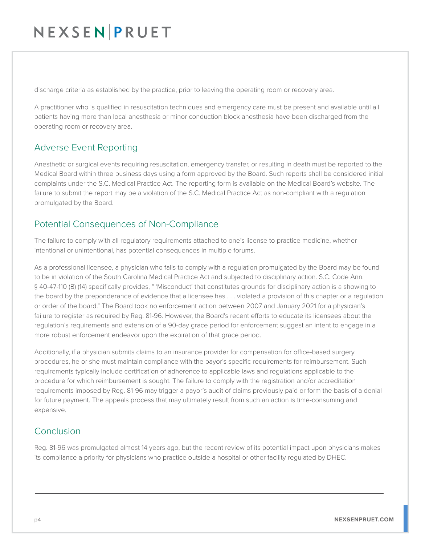# NEXSENPRUET

discharge criteria as established by the practice, prior to leaving the operating room or recovery area.

A practitioner who is qualified in resuscitation techniques and emergency care must be present and available until all patients having more than local anesthesia or minor conduction block anesthesia have been discharged from the operating room or recovery area.

### Adverse Event Reporting

Anesthetic or surgical events requiring resuscitation, emergency transfer, or resulting in death must be reported to the Medical Board within three business days using a form approved by the Board. Such reports shall be considered initial complaints under the S.C. Medical Practice Act. The reporting form is available on the Medical Board's website. The failure to submit the report may be a violation of the S.C. Medical Practice Act as non-compliant with a regulation promulgated by the Board.

### Potential Consequences of Non-Compliance

The failure to comply with all regulatory requirements attached to one's license to practice medicine, whether intentional or unintentional, has potential consequences in multiple forums.

As a professional licensee, a physician who fails to comply with a regulation promulgated by the Board may be found to be in violation of the South Carolina Medical Practice Act and subjected to disciplinary action. S.C. Code Ann. § 40-47-110 (B) (14) specifically provides, " 'Misconduct' that constitutes grounds for disciplinary action is a showing to the board by the preponderance of evidence that a licensee has . . . violated a provision of this chapter or a regulation or order of the board." The Board took no enforcement action between 2007 and January 2021 for a physician's failure to register as required by Reg. 81-96. However, the Board's recent efforts to educate its licensees about the regulation's requirements and extension of a 90-day grace period for enforcement suggest an intent to engage in a more robust enforcement endeavor upon the expiration of that grace period.

Additionally, if a physician submits claims to an insurance provider for compensation for office-based surgery procedures, he or she must maintain compliance with the payor's specific requirements for reimbursement. Such requirements typically include certification of adherence to applicable laws and regulations applicable to the procedure for which reimbursement is sought. The failure to comply with the registration and/or accreditation requirements imposed by Reg. 81-96 may trigger a payor's audit of claims previously paid or form the basis of a denial for future payment. The appeals process that may ultimately result from such an action is time-consuming and expensive.

### Conclusion

Reg. 81-96 was promulgated almost 14 years ago, but the recent review of its potential impact upon physicians makes its compliance a priority for physicians who practice outside a hospital or other facility regulated by DHEC.

J